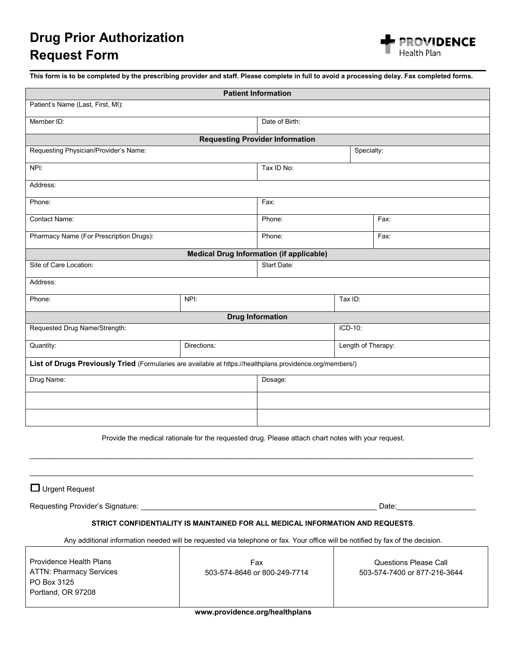

**This form is to be completed by the prescribing provider and staff. Please complete in full to avoid a processing delay. Fax completed forms.**

| <b>Patient Information</b>                                                                                |             |                |                    |      |
|-----------------------------------------------------------------------------------------------------------|-------------|----------------|--------------------|------|
| Patient's Name (Last, First, MI):                                                                         |             |                |                    |      |
| Member ID:                                                                                                |             | Date of Birth: |                    |      |
| <b>Requesting Provider Information</b>                                                                    |             |                |                    |      |
| Requesting Physician/Provider's Name:                                                                     | Specialty:  |                |                    |      |
| NPI:                                                                                                      |             | Tax ID No:     |                    |      |
| Address:                                                                                                  |             |                |                    |      |
| Phone:                                                                                                    |             | Fax:           |                    |      |
| Contact Name:                                                                                             |             | Phone:         |                    | Fax: |
| Pharmacy Name (For Prescription Drugs):                                                                   |             | Phone:         |                    | Fax: |
| <b>Medical Drug Information (if applicable)</b>                                                           |             |                |                    |      |
| Site of Care Location:                                                                                    |             | Start Date:    |                    |      |
| Address:                                                                                                  |             |                |                    |      |
| Phone:                                                                                                    | NPI:        | Tax ID:        |                    |      |
| <b>Drug Information</b>                                                                                   |             |                |                    |      |
| Requested Drug Name/Strength:                                                                             |             | ICD-10:        |                    |      |
| Quantity:                                                                                                 | Directions: |                | Length of Therapy: |      |
| List of Drugs Previously Tried (Formularies are available at https://healthplans.providence.org/members/) |             |                |                    |      |
| Drug Name:                                                                                                |             | Dosage:        |                    |      |
|                                                                                                           |             |                |                    |      |
|                                                                                                           |             |                |                    |      |

Provide the medical rationale for the requested drug. Please attach chart notes with your request.

 $\_$  , and the set of the set of the set of the set of the set of the set of the set of the set of the set of the set of the set of the set of the set of the set of the set of the set of the set of the set of the set of th

 $\_$  , and the set of the set of the set of the set of the set of the set of the set of the set of the set of the set of the set of the set of the set of the set of the set of the set of the set of the set of the set of th

 $\Box$  Urgent Request

Requesting Provider's Signature: \_\_\_\_\_\_\_\_\_\_\_\_\_\_\_\_\_\_\_\_\_\_\_\_\_\_\_\_\_\_\_\_\_\_\_\_\_\_\_\_\_\_\_\_\_\_\_\_\_\_\_\_\_\_\_\_\_ Date:\_\_\_\_\_\_\_\_\_\_\_\_\_\_\_\_\_\_\_

## **STRICT CONFIDENTIALITY IS MAINTAINED FOR ALL MEDICAL INFORMATION AND REQUESTS**.

Any additional information needed will be requested via telephone or fax. Your office will be notified by fax of the decision.

Providence Health Plans ATTN: Pharmacy Services PO Box 3125 Portland, OR 97208

Fax 503-574-8646 or 800-249-7714

Questions Please Call 503-574-7400 or 877-216-3644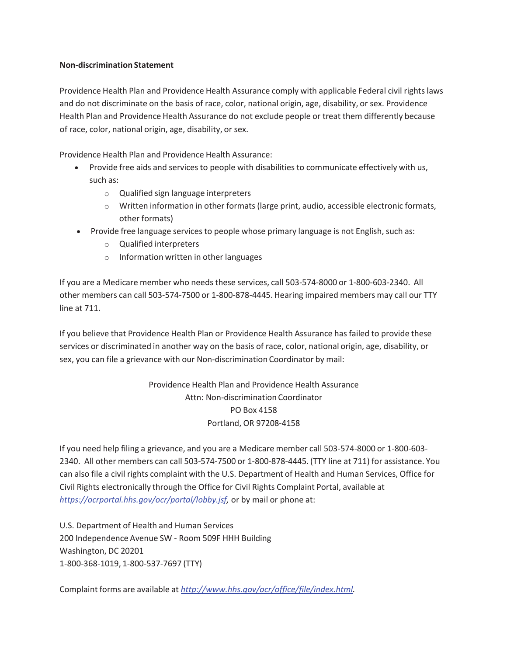## **Non-discrimination Statement**

Providence Health Plan and Providence Health Assurance comply with applicable Federal civil rights laws and do not discriminate on the basis of race, color, national origin, age, disability, or sex. Providence Health Plan and Providence Health Assurance do not exclude people or treat them differently because of race, color, national origin, age, disability, or sex.

Providence Health Plan and Providence Health Assurance:

- Provide free aids and services to people with disabilities to communicate effectively with us, such as:
	- o Qualified sign language interpreters
	- o Written information in other formats (large print, audio, accessible electronic formats, other formats)
- Provide free language services to people whose primary language is not English, such as:
	- o Qualified interpreters
	- o Information written in other languages

If you are a Medicare member who needs these services, call 503-574-8000 or 1-800-603-2340. All other members can call 503-574-7500 or 1-800-878-4445. Hearing impaired members may call our TTY line at 711.

If you believe that Providence Health Plan or Providence Health Assurance has failed to provide these services or discriminated in another way on the basis of race, color, national origin, age, disability, or sex, you can file a grievance with our Non-discrimination Coordinator by mail:

> Providence Health Plan and Providence Health Assurance Attn: Non-discrimination Coordinator PO Box 4158 Portland, OR 97208-4158

If you need help filing a grievance, and you are a Medicare member call 503-574-8000 or 1-800-603- 2340. All other members can call 503-574-7500 or 1-800-878-4445. (TTY line at 711) for assistance. You can also file a civil rights complaint with the U.S. Department of Health and Human Services, Office for Civil Rights electronically through the Office for Civil Rights Complaint Portal, available at *https://ocrportal.hhs.gov/ocr/portal/lobby.jsf,* or by mail or phone at:

U.S. Department of Health and Human Services 200 Independence Avenue SW - Room 509F HHH Building Washington, DC 20201 1-800-368-1019, 1-800-537-7697 (TTY)

Complaint forms are available at *http://www.hhs.gov/ocr/office/file/index.html.*